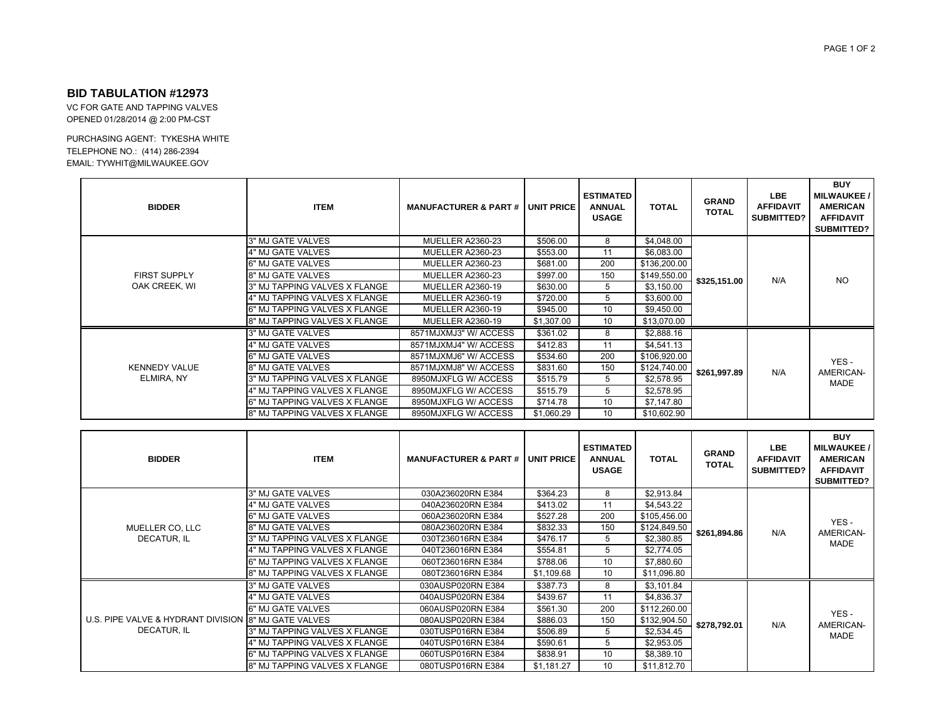## **BID TABULATION #12973**

 VC FOR GATE AND TAPPING VALVESOPENED 01/28/2014 @ 2:00 PM-CST

PURCHASING AGENT: TYKESHA WHITE TELEPHONE NO.: (414) 286-2394 EMAIL: TYWHIT@MILWAUKEE.GOV

| <b>BIDDER</b>                        | <b>ITEM</b>                   | <b>MANUFACTURER &amp; PART # UNIT PRICE</b> |            | <b>ESTIMATED</b><br><b>ANNUAL</b><br><b>USAGE</b> | <b>TOTAL</b> | <b>GRAND</b><br><b>TOTAL</b> | <b>LBE</b><br><b>AFFIDAVIT</b><br>SUBMITTED? | <b>BUY</b><br><b>MILWAUKEE /</b><br><b>AMERICAN</b><br><b>AFFIDAVIT</b><br>SUBMITTED? |
|--------------------------------------|-------------------------------|---------------------------------------------|------------|---------------------------------------------------|--------------|------------------------------|----------------------------------------------|---------------------------------------------------------------------------------------|
| <b>FIRST SUPPLY</b><br>OAK CREEK, WI | 3" MJ GATE VALVES             | MUELLER A2360-23                            | \$506.00   | 8                                                 | \$4,048.00   | \$325,151.00                 | N/A                                          | <b>NO</b>                                                                             |
|                                      | 4" MJ GATE VALVES             | MUELLER A2360-23                            | \$553.00   | 11                                                | \$6,083.00   |                              |                                              |                                                                                       |
|                                      | 6" MJ GATE VALVES             | MUELLER A2360-23                            | \$681.00   | 200                                               | \$136,200.00 |                              |                                              |                                                                                       |
|                                      | 8" MJ GATE VALVES             | MUELLER A2360-23                            | \$997.00   | 150                                               | \$149,550.00 |                              |                                              |                                                                                       |
|                                      | 3" MJ TAPPING VALVES X FLANGE | <b>MUELLER A2360-19</b>                     | \$630.00   | 5                                                 | \$3,150.00   |                              |                                              |                                                                                       |
|                                      | 4" MJ TAPPING VALVES X FLANGE | MUELLER A2360-19                            | \$720.00   | 5                                                 | \$3,600.00   |                              |                                              |                                                                                       |
|                                      | 6" MJ TAPPING VALVES X FLANGE | MUELLER A2360-19                            | \$945.00   | 10                                                | \$9,450.00   |                              |                                              |                                                                                       |
|                                      | 8" MJ TAPPING VALVES X FLANGE | MUELLER A2360-19                            | \$1,307.00 | 10                                                | \$13,070.00  |                              |                                              |                                                                                       |
| <b>KENNEDY VALUE</b><br>ELMIRA, NY   | 3" MJ GATE VALVES             | 8571MJXMJ3" W/ ACCESS                       | \$361.02   | 8                                                 | \$2,888.16   | \$261,997.89                 | N/A                                          | YES-<br>AMERICAN-<br><b>MADE</b>                                                      |
|                                      | 4" MJ GATE VALVES             | 8571MJXMJ4" W/ ACCESS                       | \$412.83   | 11                                                | \$4,541.13   |                              |                                              |                                                                                       |
|                                      | 6" MJ GATE VALVES             | 8571MJXMJ6" W/ ACCESS                       | \$534.60   | 200                                               | \$106,920.00 |                              |                                              |                                                                                       |
|                                      | 8" MJ GATE VALVES             | 8571MJXMJ8" W/ ACCESS                       | \$831.60   | 150                                               | \$124,740.00 |                              |                                              |                                                                                       |
|                                      | 3" MJ TAPPING VALVES X FLANGE | 8950MJXFLG W/ ACCESS                        | \$515.79   | 5                                                 | \$2,578.95   |                              |                                              |                                                                                       |
|                                      | 4" MJ TAPPING VALVES X FLANGE | 8950MJXFLG W/ ACCESS                        | \$515.79   | 5                                                 | \$2,578.95   |                              |                                              |                                                                                       |
|                                      | 6" MJ TAPPING VALVES X FLANGE | 8950MJXFLG W/ ACCESS                        | \$714.78   | 10                                                | \$7,147.80   |                              |                                              |                                                                                       |
|                                      | 8" MJ TAPPING VALVES X FLANGE | 8950MJXFLG W/ ACCESS                        | \$1,060.29 | 10                                                | \$10,602.90  |                              |                                              |                                                                                       |

| <b>BIDDER</b>                                                       | <b>ITEM</b>                   | <b>MANUFACTURER &amp; PART # I UNIT PRICE</b> |            | <b>ESTIMATED</b><br><b>ANNUAL</b><br><b>USAGE</b> | <b>TOTAL</b> | <b>GRAND</b><br><b>TOTAL</b> | <b>LBE</b><br><b>AFFIDAVIT</b><br>SUBMITTED? | <b>BUY</b><br><b>MILWAUKEE /</b><br><b>AMERICAN</b><br><b>AFFIDAVIT</b><br><b>SUBMITTED?</b> |
|---------------------------------------------------------------------|-------------------------------|-----------------------------------------------|------------|---------------------------------------------------|--------------|------------------------------|----------------------------------------------|----------------------------------------------------------------------------------------------|
| MUELLER CO, LLC<br>DECATUR. IL                                      | 3" MJ GATE VALVES             | 030A236020RN E384                             | \$364.23   | 8                                                 | \$2,913.84   | \$261,894.86                 | N/A                                          | YES-<br>AMERICAN-<br><b>MADE</b>                                                             |
|                                                                     | 4" MJ GATE VALVES             | 040A236020RN E384                             | \$413.02   | 11                                                | \$4,543.22   |                              |                                              |                                                                                              |
|                                                                     | 6" MJ GATE VALVES             | 060A236020RN E384                             | \$527.28   | 200                                               | \$105,456.00 |                              |                                              |                                                                                              |
|                                                                     | 8" MJ GATE VALVES             | 080A236020RN E384                             | \$832.33   | 150                                               | \$124,849.50 |                              |                                              |                                                                                              |
|                                                                     | 3" MJ TAPPING VALVES X FLANGE | 030T236016RN E384                             | \$476.17   | 5                                                 | \$2,380.85   |                              |                                              |                                                                                              |
|                                                                     | 4" MJ TAPPING VALVES X FLANGE | 040T236016RN E384                             | \$554.81   | 5                                                 | \$2,774.05   |                              |                                              |                                                                                              |
|                                                                     | 6" MJ TAPPING VALVES X FLANGE | 060T236016RN E384                             | \$788.06   | 10                                                | \$7,880.60   |                              |                                              |                                                                                              |
|                                                                     | 8" MJ TAPPING VALVES X FLANGE | 080T236016RN E384                             | \$1,109.68 | 10                                                | \$11,096.80  |                              |                                              |                                                                                              |
| U.S. PIPE VALVE & HYDRANT DIVISION 8" MJ GATE VALVES<br>DECATUR, IL | 3" MJ GATE VALVES             | 030AUSP020RN E384                             | \$387.73   | 8                                                 | \$3,101.84   | \$278,792.01                 | N/A                                          | YES-<br>AMERICAN-<br><b>MADE</b>                                                             |
|                                                                     | 4" MJ GATE VALVES             | 040AUSP020RN E384                             | \$439.67   | 11                                                | \$4,836.37   |                              |                                              |                                                                                              |
|                                                                     | 6" MJ GATE VALVES             | 060AUSP020RN E384                             | \$561.30   | 200                                               | \$112,260.00 |                              |                                              |                                                                                              |
|                                                                     |                               | 080AUSP020RN E384                             | \$886.03   | 150                                               | \$132,904.50 |                              |                                              |                                                                                              |
|                                                                     | 3" MJ TAPPING VALVES X FLANGE | 030TUSP016RN E384                             | \$506.89   | 5                                                 | \$2,534.45   |                              |                                              |                                                                                              |
|                                                                     | 4" MJ TAPPING VALVES X FLANGE | 040TUSP016RN E384                             | \$590.61   | 5                                                 | \$2,953.05   |                              |                                              |                                                                                              |
|                                                                     | 6" MJ TAPPING VALVES X FLANGE | 060TUSP016RN E384                             | \$838.91   | 10                                                | \$8,389.10   |                              |                                              |                                                                                              |
|                                                                     | 8" MJ TAPPING VALVES X FLANGE | 080TUSP016RN E384                             | \$1,181.27 | 10                                                | \$11,812.70  |                              |                                              |                                                                                              |